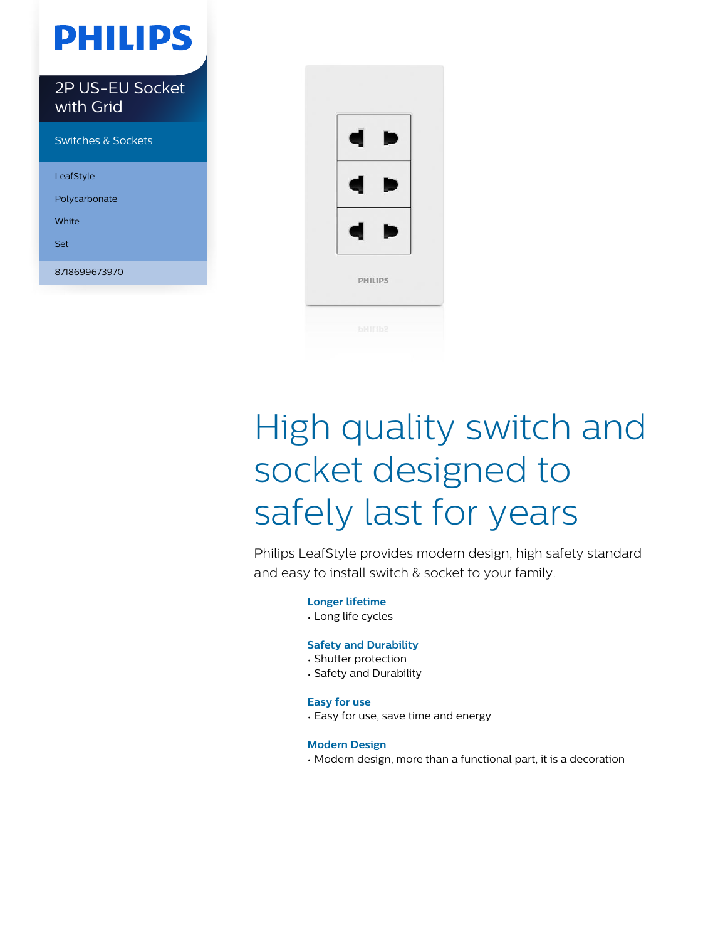# **PHILIPS**

2P US-EU Socket with Grid Switches & Sockets

LeafStyle Polycarbonate White

Set

8718699673970



# High quality switch and socket designed to safely last for years

Philips LeafStyle provides modern design, high safety standard and easy to install switch & socket to your family.

**Longer lifetime**

• Long life cycles

#### **Safety and Durability**

- Shutter protection
- Safety and Durability

#### **Easy for use**

• Easy for use, save time and energy

#### **Modern Design**

• Modern design, more than a functional part, it is a decoration